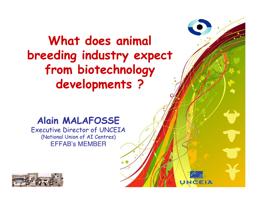# **What does animal breeding industry expect from biotechnologydevelopments ?**

**NCEIA** 

### **Alain MALAFOSSE**

 Executive Director of UNCEIA(National Union of AI Centres)EFFAB's MEMBER

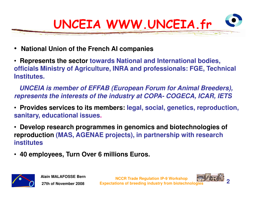

- •**National Union of the French AI companies**
- • **Represents the sector towards National and International bodies, officials Ministry of Agriculture, INRA and professionals: FGE, Technical Institutes.**

*UNCEIA is member of EFFAB (European Forum for Animal Breeders), represents the interests of the industry at COPA- COGECA, ICAR, IETS*

- **Provides services to its members: legal, social, genetics, reproduction, sanitary, educational issues.**
- • **Develop research programmes in genomics and biotechnologies of reproduction (MAS, AGENAE projects), in partnership with research institutes**
- •**40 employees, Turn Over 6 millions Euros.**



**Alain MALAFOSSE Bern**

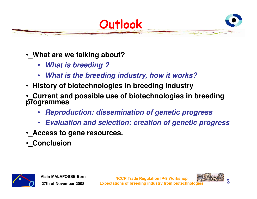**Outlook**



- •**\_What are we talking about?**
	- *What is breeding ?*
	- *What is the breeding industry, how it works?*
- •**\_History of biotechnologies in breeding industry**
- •**\_Current and possible use of biotechnologies in breeding programmes**
	- *Reproduction: dissemination of genetic progress*
	- *Evaluation and selection: creation of genetic progress*
- •**\_Access to gene resources.**
- •**\_Conclusion**





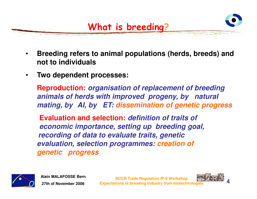# **What is breeding?**



- • **Breeding refers to animal populations (herds, breeds) and not to individuals**
- •**Two dependent processes:**

**Reproduction:** *organisation of replacement of breeding animals of herds with improved progeny, by natural mating, by AI, by ET: dissemination of genetic progress*

**Evaluation and selection:** *definition of traits of economic importance, setting up breeding goal, recording of data to evaluate traits, genetic evaluation, selection programmes: creation of genetic progress*



**Alain MALAFOSSE Bern**

**27th of November 2008**

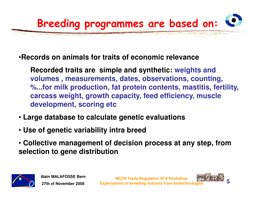

•**Records on animals for traits of economic relevance**

**Recorded traits are simple and synthetic: weights and volumes , measurements, dates, observations, counting, %...for milk production, fat protein contents, mastitis, fertility, carcass weight, growth capacity, feed efficiency, muscle development, scoring etc**

- **Large database to calculate genetic evaluations**
- **Use of genetic variability intra breed**
- **Collective management of decision process at any step, from selection to gene distribution**



**Alain MALAFOSSE Bern**



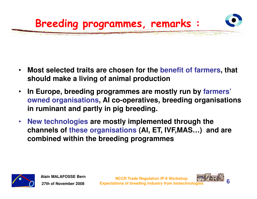

- $\bullet$  **Most selected traits are chosen for the benefit of farmers, that should make a living of animal production**
- $\bullet$  **In Europe, breeding programmes are mostly run by farmers' owned organisations, AI co-operatives, breeding organisations in ruminant and partly in pig breeding.**
- $\bullet$  **New technologies are mostly implemented through the channels of these organisations (AI, ET, IVF,MAS…) and are combined within the breeding programmes**





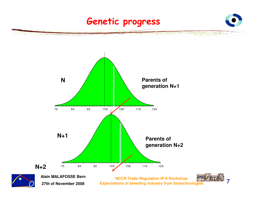

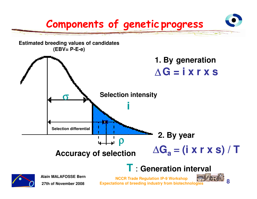### **Estimated breeding values of candidates(EBV= P-E-e)**σ**1. By generation G = i x r x s**∆**Selection intensityComponents of genetic progress Alain MALAFOSSE BernNCCR Trade Regulation IP-9 WorkshopAccuracy of selectionSelection differential2. By yeari**ρ∆**Ga <sup>=</sup>(i x r x s) / T T** : **Generation interval**

**27th of November 2008**

**Expectations of breeding industry from biotechnologies** 

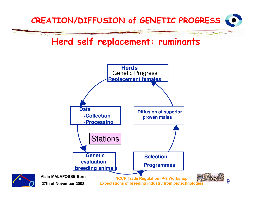

### **Herd self replacement: ruminants**

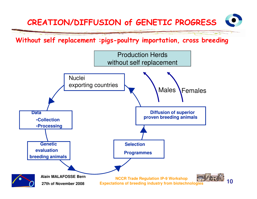

**Without self replacement :pigs-poultry importation, cross breeding**

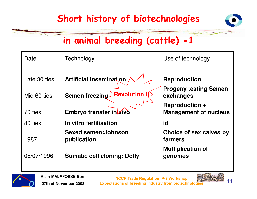# **Short history of biotechnologies**



# **in animal breeding (cattle) -1**

| Date         | Technology                                    | Use of technology                                     |
|--------------|-----------------------------------------------|-------------------------------------------------------|
| Late 30 ties | <b>Artificial Insemination</b>                | <b>Reproduction</b>                                   |
| Mid 60 ties  | <b>Revolution !!</b><br><b>Semen freezing</b> | <b>Progeny testing Semen</b><br>exchanges             |
| 70 ties      | Embryo transfer in vívo                       | <b>Reproduction +</b><br><b>Management of nucleus</b> |
| 80 ties      | In vitro fertilisation                        | id                                                    |
| 1987         | <b>Sexed semen: Johnson</b><br>publication    | Choice of sex calves by<br>farmers                    |
| 05/07/1996   | <b>Somatic cell cloning: Dolly</b>            | <b>Multiplication of</b><br>genomes                   |



**Alain MALAFOSSE Bern**

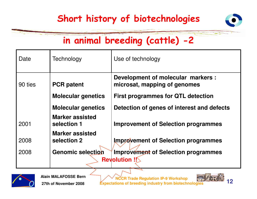# **Short history of biotechnologies**



# **in animal breeding (cattle) -2**

| Date    | Technology                            | Use of technology                                                  |
|---------|---------------------------------------|--------------------------------------------------------------------|
| 90 ties | <b>PCR</b> patent                     | Development of molecular markers :<br>microsat, mapping of genomes |
|         | <b>Molecular genetics</b>             | First programmes for QTL detection                                 |
|         | <b>Molecular genetics</b>             | Detection of genes of interest and defects                         |
| 2001    | <b>Marker assisted</b><br>selection 1 | <b>Improvement of Selection programmes</b>                         |
| 2008    | <b>Marker assisted</b><br>selection 2 | Improvement of Selection programmes                                |
| 2008    | <b>Genomic selection</b>              | <b>Improvement of Selection programmes</b><br><b>Revolution!!</b>  |



**Alain MALAFOSSE Bern27th of November 2008**

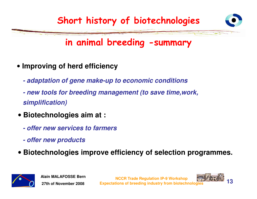



## **in animal breeding -summary**

- **Improving of herd efficiency**
	- *- adaptation of gene make-up to economic conditions*
	- *- new tools for breeding management (to save time,work, simplification)*
- **Biotechnologies aim at :**
	- *- offer new services to farmers*
	- *- offer new products*
- **Biotechnologies improve efficiency of selection programmes.**



**Alain MALAFOSSE Bern**

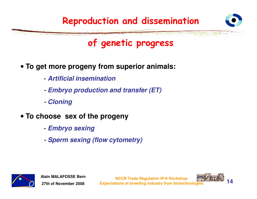



## **of genetic progress**

- **To get more progeny from superior animals:**
	- **-** *Artificial insemination*
	- *- Embryo production and transfer (ET)*
	- *- Cloning*
- **To choose sex of the progeny**
	- **-** *Embryo sexing*
	- *- Sperm sexing (flow cytometry)*



**Alain MALAFOSSE Bern**

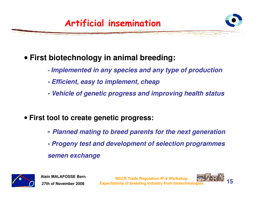

- **First biotechnology in animal breeding:**
	- *-Implemented in any species and any type of production*
	- *- Efficient, easy to implement, cheap*
	- *- Vehicle of genetic progress and improving health status*
- **First tool to create genetic progress:**
	- **-** *Planned mating to breed parents for the next generation*
	- *- Progeny test and development of selection programmessemen exchange*



**Alain MALAFOSSE Bern27th of November 2008**

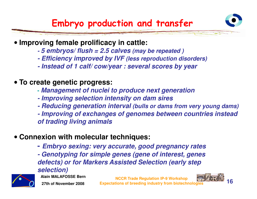## **Embryo production and transfer**



- **Improving female prolificacy in cattle:**
	- *-5 embryos/ flush = 2.5 calves (may be repeated )*
	- *- Efficiency improved by IVF (less reproduction disorders)*
	- *- Instead of 1 calf/ cow/year : several scores by year*
- **To create genetic progress:**
	- **-***Management of nuclei to produce next generation*
	- *- Improving selection intensity on dam sires*
	- *- Reducing generation interval (bulls or dams from very young dams)*
	- *- Improving of exchanges of genomes between countries instead of trading living animals*
- **Connexion with molecular techniques:**
	- **-** *Embryo sexing: very accurate, good pregnancy rates*
	- *- Genotyping for simple genes (gene of interest, genes defects) or for Markers Assisted Selection (early step selection)*



**Alain MALAFOSSE Bern**

**27th of November 2008**

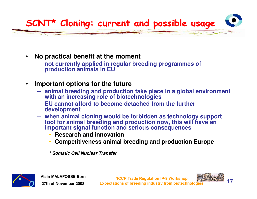# **SCNT\* Cloning: current and possible usage**

- • **No practical benefit at the moment**
	- **not currently applied in regular breeding programmes of production animals in EU**
- • **Important options for the future**
	- **animal breeding and production take place in a global environment with an increasing role of biotechnologies**
	- **EU cannot afford to become detached from the further development**
	- **when animal cloning would be forbidden as technology support tool for animal breeding and production now, this will have an important signal function and serious consequences**
		- •**Research and innovation**
		- **Competitiveness animal breeding and production Europe**•
		- *\* Somatic Cell Nuclear Transfer*



**Alain MALAFOSSE Bern**

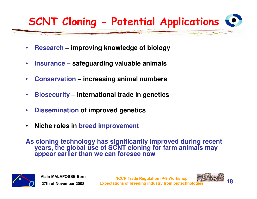# **SCNT Cloning - Potential Applications**

- •**Research – improving knowledge of biology**
- •**Insurance – safeguarding valuable animals**
- •**Conservation – increasing animal numbers**
- $\bullet$ **Biosecurity – international trade in genetics**
- $\bullet$ **Dissemination of improved genetics**
- •**Niche roles in breed improvement**

**As cloning technology has significantly improved during recent years, the global use of SCNT cloning for farm animals may appear earlier than we can foresee now**



**Alain MALAFOSSE Bern**

**NCCR Trade Regulation IP-9 WorkshopExpectations of breeding industry from biotechnologies** 

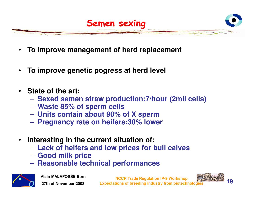



- •**To improve management of herd replacement**
- $\bullet$ **To improve genetic pogress at herd level**
- • **State of the art:**
	- **Sexed semen straw production:7/hour (2mil cells)**
	-
	-
	-
- 
- Waste 85% of sperm cells<br>
Units contain about 90% of X sperm<br>
Pregnancy rate on heifers:30% lower<br>
Interesting in the current situation of:<br>
Lack of heifers and low prices for bull calves<br>
Good milk price<br>
R
	-
	-



**27th of November 2008**

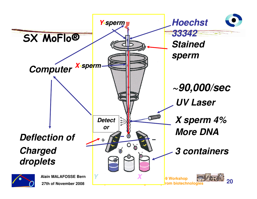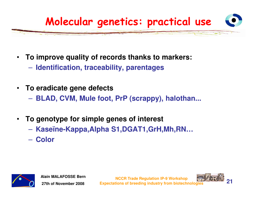# **Molecular genetics: practical use**

- • **To improve quality of records thanks to markers:**
	- **Identification, traceability, parentages**
- **To eradicate gene defects**
	- **BLAD, CVM, Mule foot, PrP (scrappy), halothan...**
- • **To genotype for simple genes of interest**
	- **Kaseïne-Kappa,Alpha S1,DGAT1,GrH,Mh,RN…**
	- Co<mark>l</mark>or



**Alain MALAFOSSE Bern**



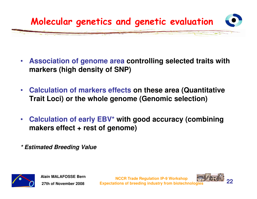

- $\bullet$  **Association of genome area controlling selected traits with markers (high density of SNP)**
- • **Calculation of markers effects on these area (Quantitative Trait Loci) or the whole genome (Genomic selection)**
- $\bullet$  **Calculation of early EBV\* with good accuracy (combining makers effect + rest of genome)**
- *\* Estimated Breeding Value*



**27th of November 2008**

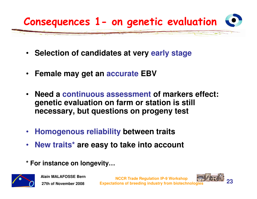# **Consequences 1- on genetic evaluation**

- **Selection of candidates at very early stage**
- $\bullet$ **Female may get an accurate EBV**
- **Need a continuous assessment of markers effect: genetic evaluation on farm or station is still necessary, but questions on progeny test**
- •**Homogenous reliability between traits**
- •**New traits\* are easy to take into account**
- **\* For instance on longevity…**



**Alain MALAFOSSE Bern**

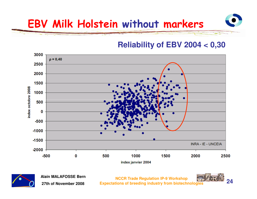# **EBV Milk Holstein without markers**

#### **Reliability of EBV 2004 < 0,30**





**Alain MALAFOSSE Bern27th of November 2008**

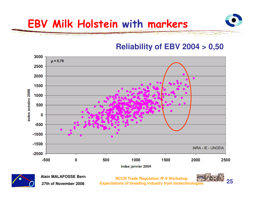

#### **Reliability of EBV 2004 > 0,50**





**Alain MALAFOSSE Bern27th of November 2008**

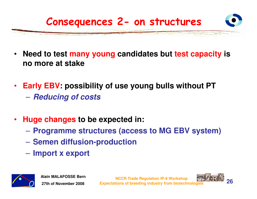

- • **Need to test many young candidates but test capacity is no more at stake**
- $\bullet$  **Early EBV: possibility of use young bulls without PT**–*Reducing of costs*
- • **Huge changes to be expected in:**
	- $\mathcal{L}_{\mathcal{A}}$  , and the set of the set of the set of the set of the set of the set of the set of the set of the set of the set of the set of the set of the set of the set of the set of the set of the set of the set of th **Programme structures (access to MG EBV system)**
	- $\mathcal{L}_{\mathcal{A}}$  , and the set of the set of the set of the set of the set of the set of the set of the set of the set of the set of the set of the set of the set of the set of the set of the set of the set of the set of th **Semen diffusion-production**
	- –**Import x export**



**27th of November 2008**

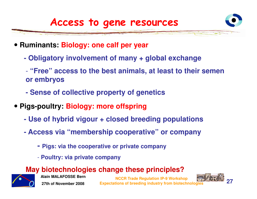# **Access to gene resources**



- **Ruminants: Biology: one calf per year**
	- **Obligatory involvement of many + global exchange**
	- **"Free" access to the best animals, at least to their semen or embryos**
	- **Sense of collective property of genetics**
- **Pigs-poultry: Biology: more offspring**
	- **Use of hybrid vigour + closed breeding populations**
	- **Access via "membership cooperative" or company**
		- **- Pigs: via the cooperative or private company**
		- **Poultry: via private company**

#### **May biotechnologies change these principles?**



**Alain MALAFOSSE Bern**

**27th of November 2008**

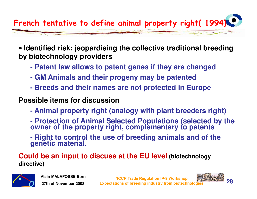**French tentative to define animal property right( 1994)**

• **Identified risk: jeopardising the collective traditional breeding by biotechnology providers**

- **Patent law allows to patent genes if they are changed**
- **GM Animals and their progeny may be patented**
- **Breeds and their names are not protected in Europe**

**Possible items for discussion**

- **Animal property right (analogy with plant breeders right)**
- Protection of Animal Selected Populations (selected by the<br>owner of the property right, complementary to patents
- **Right to control the use of breeding animals and of the genetic material.**

#### **Could be an input to discuss at the EU level (biotechnology directive)**



**Alain MALAFOSSE Bern**

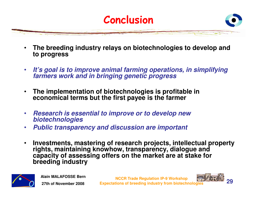**Conclusion**



- • **The breeding industry relays on biotechnologies to develop and to progress**
- • *It's goal is to improve animal farming operations, in simplifying farmers work and in bringing genetic progress*
- • **The implementation of biotechnologies is profitable in economical terms but the first payee is the farmer**
- • *Research is essential to improve or to develop new biotechnologies*
- *Public transparency and discussion are important* •
- • **Investments, mastering of research projects, intellectual property rights, maintaining knowhow, transparency, dialogue and capacity of assessing offers on the market are at stake for breeding industry**



**27th of November 2008**